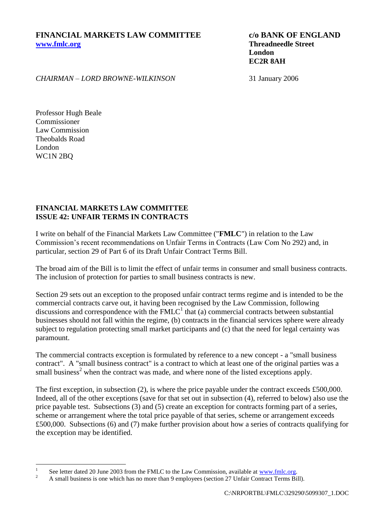**London EC2R 8AH**

*CHAIRMAN – LORD BROWNE-WILKINSON* 31 January 2006

Professor Hugh Beale Commissioner Law Commission Theobalds Road London WC1N 2BQ

## **FINANCIAL MARKETS LAW COMMITTEE ISSUE 42: UNFAIR TERMS IN CONTRACTS**

I write on behalf of the Financial Markets Law Committee ("**FMLC**") in relation to the Law Commission's recent recommendations on Unfair Terms in Contracts (Law Com No 292) and, in particular, section 29 of Part 6 of its Draft Unfair Contract Terms Bill.

The broad aim of the Bill is to limit the effect of unfair terms in consumer and small business contracts. The inclusion of protection for parties to small business contracts is new.

Section 29 sets out an exception to the proposed unfair contract terms regime and is intended to be the commercial contracts carve out, it having been recognised by the Law Commission, following discussions and correspondence with the  $\text{FMLC}^1$  that (a) commercial contracts between substantial businesses should not fall within the regime, (b) contracts in the financial services sphere were already subject to regulation protecting small market participants and (c) that the need for legal certainty was paramount.

The commercial contracts exception is formulated by reference to a new concept - a "small business contract". A "small business contract" is a contract to which at least one of the original parties was a small business<sup>2</sup> when the contract was made, and where none of the listed exceptions apply.

The first exception, in subsection (2), is where the price payable under the contract exceeds £500,000. Indeed, all of the other exceptions (save for that set out in subsection (4), referred to below) also use the price payable test. Subsections (3) and (5) create an exception for contracts forming part of a series, scheme or arrangement where the total price payable of that series, scheme or arrangement exceeds £500,000. Subsections (6) and (7) make further provision about how a series of contracts qualifying for the exception may be identified.

 $\frac{1}{1}$ See letter dated 20 June 2003 from the FMLC to the Law Commission, available at [www.fmlc.org.](http://www.fmlc.org/)

<sup>&</sup>lt;sup>2</sup> A small business is one which has no more than 9 employees (section 27 Unfair Contract Terms Bill).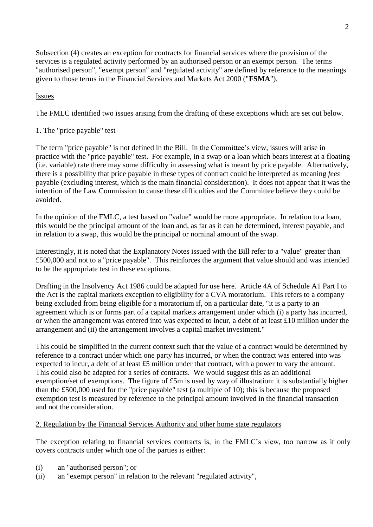Subsection (4) creates an exception for contracts for financial services where the provision of the services is a regulated activity performed by an authorised person or an exempt person. The terms "authorised person", "exempt person" and "regulated activity" are defined by reference to the meanings given to those terms in the Financial Services and Markets Act 2000 ("**FSMA**").

## Issues

The FMLC identified two issues arising from the drafting of these exceptions which are set out below.

## 1. The "price payable" test

The term "price payable" is not defined in the Bill. In the Committee's view, issues will arise in practice with the "price payable" test. For example, in a swap or a loan which bears interest at a floating (i.e. variable) rate there may some difficulty in assessing what is meant by price payable. Alternatively, there is a possibility that price payable in these types of contract could be interpreted as meaning *fees* payable (excluding interest, which is the main financial consideration). It does not appear that it was the intention of the Law Commission to cause these difficulties and the Committee believe they could be avoided.

In the opinion of the FMLC, a test based on "value" would be more appropriate. In relation to a loan, this would be the principal amount of the loan and, as far as it can be determined, interest payable, and in relation to a swap, this would be the principal or nominal amount of the swap.

Interestingly, it is noted that the Explanatory Notes issued with the Bill refer to a "value" greater than £500,000 and not to a "price payable". This reinforces the argument that value should and was intended to be the appropriate test in these exceptions.

Drafting in the Insolvency Act 1986 could be adapted for use here. Article 4A of Schedule A1 Part I to the Act is the capital markets exception to eligibility for a CVA moratorium. This refers to a company being excluded from being eligible for a moratorium if, on a particular date, "it is a party to an agreement which is or forms part of a capital markets arrangement under which (i) a party has incurred, or when the arrangement was entered into was expected to incur, a debt of at least £10 million under the arrangement and (ii) the arrangement involves a capital market investment."

This could be simplified in the current context such that the value of a contract would be determined by reference to a contract under which one party has incurred, or when the contract was entered into was expected to incur, a debt of at least £5 million under that contract, with a power to vary the amount. This could also be adapted for a series of contracts. We would suggest this as an additional exemption/set of exemptions. The figure of £5m is used by way of illustration: it is substantially higher than the £500,000 used for the "price payable" test (a multiple of 10); this is because the proposed exemption test is measured by reference to the principal amount involved in the financial transaction and not the consideration.

## 2. Regulation by the Financial Services Authority and other home state regulators

The exception relating to financial services contracts is, in the FMLC's view, too narrow as it only covers contracts under which one of the parties is either:

- (i) an "authorised person"; or
- (ii) an "exempt person" in relation to the relevant "regulated activity",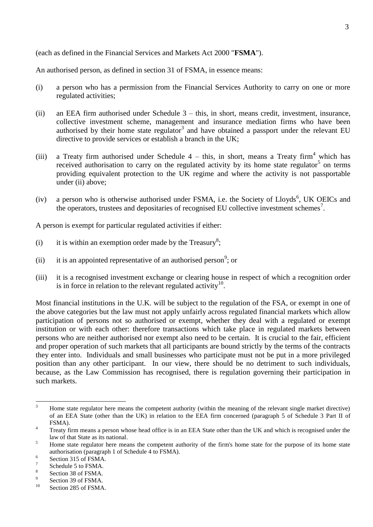(each as defined in the Financial Services and Markets Act 2000 "**FSMA**").

An authorised person, as defined in section 31 of FSMA, in essence means:

- (i) a person who has a permission from the Financial Services Authority to carry on one or more regulated activities;
- (ii) an EEA firm authorised under Schedule 3 this, in short, means credit, investment, insurance, collective investment scheme, management and insurance mediation firms who have been authorised by their home state regulator<sup>3</sup> and have obtained a passport under the relevant EU directive to provide services or establish a branch in the UK;
- (iii) a Treaty firm authorised under Schedule  $4 \text{this}$ , in short, means a Treaty firm<sup>4</sup> which has received authorisation to carry on the regulated activity by its home state regulator<sup>5</sup> on terms providing equivalent protection to the UK regime and where the activity is not passportable under (ii) above:
- $(iv)$  a person who is otherwise authorised under FSMA, i.e. the Society of Lloyds<sup>6</sup>, UK OEICs and the operators, trustees and depositaries of recognised EU collective investment schemes<sup>7</sup>.

A person is exempt for particular regulated activities if either:

- (i) it is within an exemption order made by the Treasury<sup>8</sup>;
- (ii) it is an appointed representative of an authorised person<sup>9</sup>; or
- (iii) it is a recognised investment exchange or clearing house in respect of which a recognition order is in force in relation to the relevant regulated activity $10$ .

Most financial institutions in the U.K. will be subject to the regulation of the FSA, or exempt in one of the above categories but the law must not apply unfairly across regulated financial markets which allow participation of persons not so authorised or exempt, whether they deal with a regulated or exempt institution or with each other: therefore transactions which take place in regulated markets between persons who are neither authorised nor exempt also need to be certain. It is crucial to the fair, efficient and proper operation of such markets that all participants are bound strictly by the terms of the contracts they enter into. Individuals and small businesses who participate must not be put in a more privileged position than any other participant. In our view, there should be no detriment to such individuals, because, as the Law Commission has recognised, there is regulation governing their participation in such markets.

 $\overline{3}$ <sup>3</sup> Home state regulator here means the competent authority (within the meaning of the relevant single market directive) of an EEA State (other than the UK) in relation to the EEA firm concerned (paragraph 5 of Schedule 3 Part II of FSMA).

<sup>&</sup>lt;sup>4</sup> Treaty firm means a person whose head office is in an EEA State other than the UK and which is recognised under the law of that State as its national.

<sup>&</sup>lt;sup>5</sup> Home state regulator here means the competent authority of the firm's home state for the purpose of its home state authorisation (paragraph 1 of Schedule 4 to FSMA).

<sup>6</sup> Section 315 of FSMA.

<sup>7</sup> Schedule 5 to FSMA.

<sup>8</sup> Section 38 of FSMA.

 $\overline{Q}$ Section 39 of FSMA.

<sup>&</sup>lt;sup>10</sup> Section 285 of FSMA.